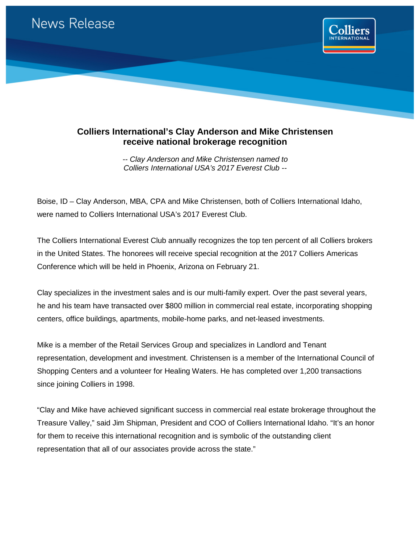

## **Colliers International's Clay Anderson and Mike Christensen receive national brokerage recognition**

*-- Clay Anderson and Mike Christensen named to Colliers International USA's 2017 Everest Club --*

Boise, ID – Clay Anderson, MBA, CPA and Mike Christensen, both of Colliers International Idaho, were named to Colliers International USA's 2017 Everest Club.

The Colliers International Everest Club annually recognizes the top ten percent of all Colliers brokers in the United States. The honorees will receive special recognition at the 2017 Colliers Americas Conference which will be held in Phoenix, Arizona on February 21.

Clay specializes in the investment sales and is our multi-family expert. Over the past several years, he and his team have transacted over \$800 million in commercial real estate, incorporating shopping centers, office buildings, apartments, mobile-home parks, and net-leased investments.

Mike is a member of the Retail Services Group and specializes in Landlord and Tenant representation, development and investment. Christensen is a member of the International Council of Shopping Centers and a volunteer for Healing Waters. He has completed over 1,200 transactions since joining Colliers in 1998.

"Clay and Mike have achieved significant success in commercial real estate brokerage throughout the Treasure Valley," said Jim Shipman, President and COO of Colliers International Idaho. "It's an honor for them to receive this international recognition and is symbolic of the outstanding client representation that all of our associates provide across the state."